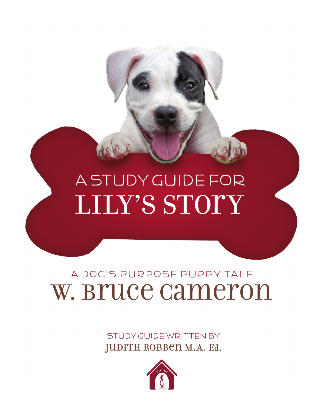

STUDY GUIDE WRITTEN BY JUDITH ROBBEN M.A. Ed.

## A Dog's Purpose Puppy Tale W. Bruce Cameron

# Lily's Story A Study Guide foR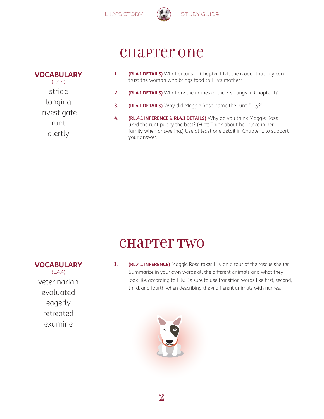



### chapter one

| <b>VOCABULARY</b> |
|-------------------|
| (L.4.4)           |
| stride            |
| longing           |
| investigate       |
| runt              |
| alertly           |

- 1. **(RI.4.1 DETAILS)** What details in Chapter 1 tell the reader that Lily can trust the woman who brings food to Lily's mother?
- 2. **(RI.4.1 DETAILS)** What are the names of the 3 siblings in Chapter 1?
- 3. **(RI.4.1 DETAILS)** Why did Maggie Rose name the runt, "Lily?"
- 4. **(RL.4.1 INFERENCE & RI.4.1 DETAILS)** Why do you think Maggie Rose liked the runt puppy the best? (Hint: Think about her place in her family when answering.) Use at least one detail in Chapter 1 to support your answer.

### chapter two

1. **(RL.4.1 INFERENCE)** Maggie Rose takes Lily on a tour of the rescue shelter. Summarize in your own words all the different animals and what they look like according to Lily. Be sure to use transition words like first, second, third, and fourth when describing the 4 different animals with names.



**VOCABULARY**  $(L.4.4)$ veterinarian evaluated eagerly retreated examine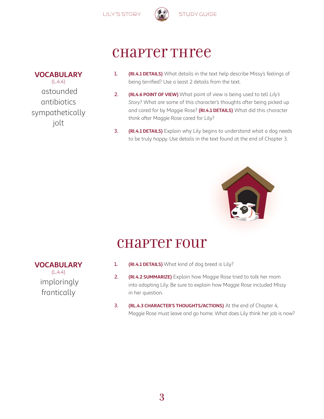

### chapter Three

- 1. **(RI.4.1 DETAILS)** What details in the text help describe Missy's feelings of being terrified? Use a least 2 details from the text.
- 2. **(RL4.6 POINT OF VIEW)** What point of view is being used to tell *Lily's Story*? What are some of this character's thoughts after being picked up and cared for by Maggie Rose? **(RI.4.1 DETAILS)** What did this character think after Maggie Rose cared for Lily?
- 3. **(RI.4.1 DETAILS)** Explain why Lily begins to understand what a dog needs to be truly happy. Use details in the text found at the end of Chapter 3.



### chapter Four

- 1. **(RI.4.1 DETAILS)** What kind of dog breed is Lily?
- 2. **(RI.4.2 SUMMARIZE)** Explain how Maggie Rose tried to talk her mom into adopting Lily. Be sure to explain how Maggie Rose included Missy in her question.
- 3. **(RL.4.3 CHARACTER'S THOUGHTS/ACTIONS)** At the end of Chapter 4, Maggie Rose must leave and go home. What does Lily think her job is now?

#### **VOCABULARY**  $(L.4.4)$  astounded antibiotics sympathetically jolt

#### **VOCABULARY**

 $(L.4.4)$  imploringly frantically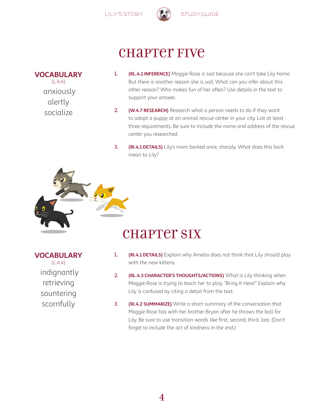

### **CHAPTET FIVE**

#### **VOCABULARY**

 $(L.4.4)$  anxiously alertly socialize

- 1. **(RL.4.1 INFERENCE)** Maggie Rose is sad because she can't take Lily home. But there is another reason she is sad. What can you infer about this other reason? Who makes fun of her often? Use details in the text to support your answer.
- 2. **(W.4.7 RESEARCH)** Research what a person needs to do if they want to adopt a puppy at an animal rescue center in your city. List at least three requirements. Be sure to include the name and address of the rescue center you researched.
- 3. **(RI.4.1 DETAILS)** Lily's mom barked once, sharply. What does this bark mean to Lily?

### chapter six

#### **VOCABULARY**

 $(L.4.4)$  indignantly retrieving sauntering scornfully

- 1. **(RI.4.1 DETAILS)** Explain why Amelia does not think that Lily should play with the new kittens.
- 2. **(RL.4.3 CHARACTER'S THOUGHTS/ACTIONS)** What is Lily thinking when Maggie Rose is trying to teach her to play, "Bring It Here!" Explain why Lily is confused by citing a detail from the text.
- 3. **(RI.4.2 SUMMARIZE)** Write a short summary of the conversation that Maggie Rose has with her brother Bryan after he throws the ball for Lily. Be sure to use transition words like first, second, third, last. (Don't forget to include the act of kindness in the end.)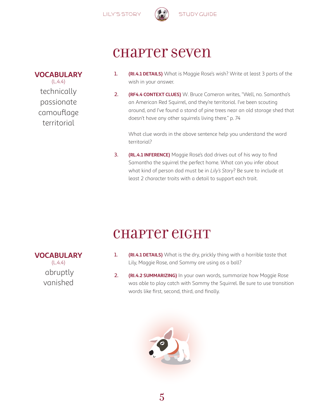

### chapter seven

- 1. **(RI.4.1 DETAILS)** What is Maggie Rose's wish? Write at least 3 parts of the wish in your answer.
- 2. **(RF4.4 CONTEXT CLUES)** W. Bruce Cameron writes, "Well, no. Samantha's an American Red Squirrel, and they're territorial. I've been scouting around, and I've found a stand of pine trees near an old storage shed that doesn't have any other squirrels living there." p. 74

What clue words in the above sentence help you understand the word territorial?

3. **(RL.4.1 INFERENCE)** Maggie Rose's dad drives out of his way to find Samantha the squirrel the perfect home. What can you infer about what kind of person dad must be in *Lily's Story*? Be sure to include at least 2 character traits with a detail to support each trait.

### chapter eight

- 1. **(RI.4.1 DETAILS)** What is the dry, prickly thing with a horrible taste that Lily, Maggie Rose, and Sammy are using as a ball?
- 2. **(RI.4.2 SUMMARIZING)** In your own words, summarize how Maggie Rose was able to play catch with Sammy the Squirrel. Be sure to use transition words like first, second, third, and finally.



**VOCABULARY**  $(L.4.4)$  abruptly vanished

#### **VOCABULARY**

 $(L.4.4)$ technically passionate camouflage territorial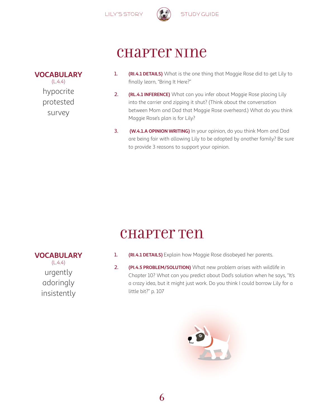

### chapter Nine

- 1. **(RI.4.1 DETAILS)** What is the one thing that Maggie Rose did to get Lily to finally learn, "Bring It Here?"
- 2. **(RL.4.1 INFERENCE)** What can you infer about Maggie Rose placing Lily into the carrier and zipping it shut? (Think about the conversation between Mom and Dad that Maggie Rose overheard.) What do you think Maggie Rose's plan is for Lily?
- 3. **(W.4.1.A OPINION WRITING)** In your opinion, do you think Mom and Dad are being fair with allowing Lily to be adopted by another family? Be sure to provide 3 reasons to support your opinion.

### chapter Ten

- 1. **(RI.4.1 DETAILS)** Explain how Maggie Rose disobeyed her parents.
- 2. **(PI.4.5 PROBLEM/SOLUTION)** What new problem arises with wildlife in Chapter 10? What can you predict about Dad's solution when he says, "It's a crazy idea, but it might just work. Do you think I could borrow Lily for a little bit?" p. 107



**VOCABULARY**

 $(L.4.4)$ urgently adoringly insistently



#### **VOCABULARY**  $(L.4.4)$ hypocrite

protested survey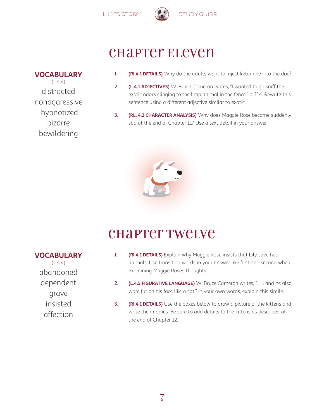

### chapter Eleven

- 1. **(RI.4.1 DETAILS)** Why do the adults want to inject ketamine into the doe?
- 2. **(L.4.1 ADJECTIVES)** W. Bruce Cameron writes, "I wanted to go sniff the exotic odors clinging to the limp animal in the fence." p. 114. Rewrite this sentence using a different adjective similar to exotic.
- 3. **(RL. 4.3 CHARACTER ANALYSIS)** Why does Maggie Rose become suddenly sad at the end of Chapter 11? Use a text detail in your answer.



### chapter Twelve

- 1. **(RI.4.1 DETAILS)** Explain why Maggie Rose insists that Lily save two animals. Use transition words in your answer like first and second when explaining Maggie Rose's thoughts.
- 2. **(L.4.5 FIGURATIVE LANGUAGE)** W. Bruce Cameron writes, "... and he also wore fur on his face like a cat." In your own words, explain this simile.
- 3. **(RI.4.1 DETAILS)** Use the boxes below to draw a picture of the kittens and write their names. Be sure to add details to the kittens as described at the end of Chapter 12.

**VOCABULARY**  $(L.4.4)$ distracted nonaggressive hypnotized bizarre bewildering

**VOCABULARY**

 $(L.4.4)$ abandoned dependent grave insisted affection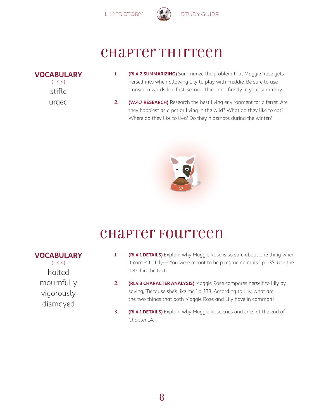

### chapter Thirteen

#### **VOCABULARY**

 $(L.4.4)$ stifle urged

- 1. **(RI.4.2 SUMMARIZING)** Summarize the problem that Maggie Rose gets herself into when allowing Lily to play with Freddie. Be sure to use transition words like first, second, third, and finally in your summary.
- 2. **(W.4.7 RESEARCH)** Research the best living environment for a ferret. Are they happiest as a pet or living in the wild? What do they like to eat? Where do they like to live? Do they hibernate during the winter?



### chapter Fourteen

#### **VOCABULARY**

 $(L.4.4)$ halted mournfully vigorously dismayed

- 1. **(RI.4.1 DETAILS)** Explain why Maggie Rose is so sure about one thing when it comes to Lily—"You were meant to help rescue animals." p. 135. Use the detail in the text.
- 2. **(RL4.3 CHARACTER ANALYSIS)** Maggie Rose compares herself to Lily by saying, "Because she's like me." p. 138. According to Lily, what are the two things that both Maggie Rose and Lily have in common?
- 3. **(RI.4.1 DETAILS)** Explain why Maggie Rose cries and cries at the end of Chapter 14.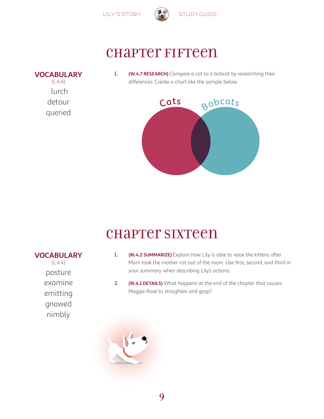



### chapter Fifteen

#### **VOCABULARY**

 $(L.4.4)$  lurch detour queried

**VOCABULARY**  $(L.4.4)$ 

> posture examine

emitting

gnawed nimbly 1. **(W.4.7 RESEARCH)** Compare a cat to a bobcat by researching their differences. Create a chart like the sample below.



### chapter Sixteen

- 1. **(RI.4.2 SUMMARIZE)** Explain how Lily is able to relax the kittens after Mom took the mother cat out of the room. Use first, second, and third in your summary when describing Lily's actions.
- 2. **(RI.4.1 DETAILS)** What happens at the end of the chapter that causes Maggie Rose to straighten and gasp?



9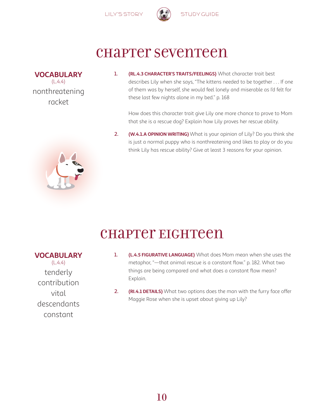

### chapter Seventeen

**VOCABULARY**  $(L.4.4)$ nonthreatening racket

1. **(RL.4.3 CHARACTER'S TRAITS/FEELINGS)** What character trait best describes Lily when she says, "The kittens needed to be together . . . If one of them was by herself, she would feel lonely and miserable as I'd felt for these last few nights alone in my bed." p. 168

How does this character trait give Lily one more chance to prove to Mom that she is a rescue dog? Explain how Lily proves her rescue ability.

2. **(W.4.1.A OPINION WRITING)** What is your opinion of Lily? Do you think she is just a normal puppy who is nonthreatening and likes to play or do you think Lily has rescue ability? Give at least 3 reasons for your opinion.

### chapter Eighteen

**VOCABULARY**  $(L.4.4)$ 

tenderly contribution vital descendants constant

- 1. **(L.4.5 FIGURATIVE LANGUAGE)** What does Mom mean when she uses the metaphor, "—that animal rescue is a constant flow." p. 182. What two things are being compared and what does a constant flow mean? Explain.
- 2. **(RI.4.1 DETAILS)** What two options does the man with the furry face offer Maggie Rose when she is upset about giving up Lily?